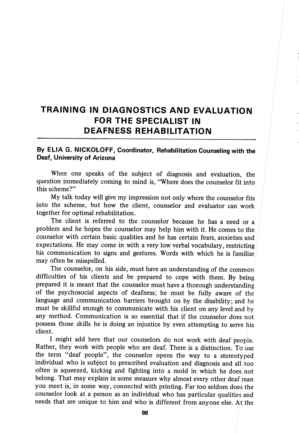## TRAINING IN DIAGNOSTICS AND EVALUATION FOR THE SPECIALIST IN DEAFNESS REHABILITATION

## By ELIA G. NICKOLOFF, Coordinator, Rehabilitation Counseling with the Deaf, University of Arizona

When one speaks of the subject of diagnosis and evaluation, the question immediately coming to mind is, "Where does the counselor fit into this scheme?"

My talk today will give my impression not only where the counselor fits into the scheme, but how the client, counselor and evaluator can work together for optimal rehabilitation.

The client is referred to the counselor because he has a need or a problem and he hopes the counselor may help him with it. He comes to the counselor with certain basic qualities and he has certain fears, anxieties and expectations. He may come in with a very low verbal vocabulary, restricting his communication to signs and gestures. Words with which he is familiar may often be misspelled.

The counselor, on his side, must have an understanding of the common difficulties of his clients and be prepared to cope with them. By being prepared it is meant that the counselor must have a thorough understanding of the psychosocial aspects of deafness; he must be fully aware of the language and communication barriers brought on by the disability; and he must be skillful enough to communicate with his client on any level and by any method. Communication is so essential that if the counselor does nbt possess those skills he is doing an injustice by even attempting to serve liis client.

I might add here that our counselors do not work with deaf people. Rather, they work with people who are deaf. There is a distinction. To use the term "deaf people", the counselor opens the way to a stereotyped individual who is subject to prescribed evaluation and diagnosis and all too often is squeezed, kicking and fighting into a mold in which he does; not belong. That may explain in some measure why almost every other deaf man you meet is, in some way, connected with printing. Far too seldom does the counselor look at a person as an individual who has particular qualities and needs that are unique to him and who is different from anyone else. At the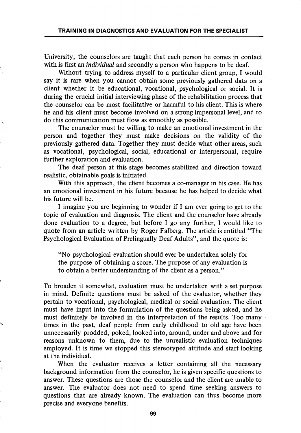University, the counselors are taught that each person he comes in contact with is first an *individual* and secondly a person who happens to be deaf.

Without trying to address myself to a particular client group, I would say it is rare when you cannot obtain some previously gathered data on a client whether it be educational, vocational, psychological or social. It is during the crucial initial interviewing phase of the rehabilitation process that the counselor can be most facilitative or harmful to his client. This is where he and his client must become involved on a strong impersonal level, and to do this communication must flow as smoothly as possible.

The counselor must be willing to make an emotional investment in the person and together they must make decisions on the validity of the previously gathered data. Together they must decide what other areas, such as vocational, psychological, social, educational or interpersonal, require further exploration and evaluation.

The deaf person at this stage becomes stabilized and direction toward realistic, obtainable goals is initiated.

With this approach, the client becomes a co-manager in his case. He has an emotional investment in his future because he has helped to decide what his future will be.

I imagine you are beginning to wonder if I am ever going to get to the topic of evaluation and diagnosis. The client and the counselor have already done evaluation to a degree, but before I go any further, I would like to quote from an article written by Roger Falberg. The article is entitled "The Psychological Evaluation of Prelingually Deaf Adults", and the quote is:

"No psychological evaluation should ever be undertaken solely for the purpose of obtaining a score. The purpose of any evaluation is to obtain a better understanding of the client as a person."

To broaden it somewhat, evaluation must be undertaken with a set purpose in mind. Definite questions must be asked of the evaluator, whether they pertain to vocational, psychological, medical or social evaluation. The client must have input into the formulation of the questions being asked, and he must definitely be involved in the interpretation of the results. Too many times in the past, deaf people from early childhood to old age have been unnecessarily prodded, poked, looked into, around, under and above and for reasons unknown to them, due to the unrealistic evaluation techniques employed. It is time we stopped this stereotyped attitude and start looking at the individual.

When the evaluator receives a letter containing all the necessary background information from the counselor, he is given specific questions to answer. These questions are those the counselor and the client are unable to answer. The evaluator does not need to spend time seeking answers to questions that are already known. The evaluation can thus become more precise and everyone benefits.